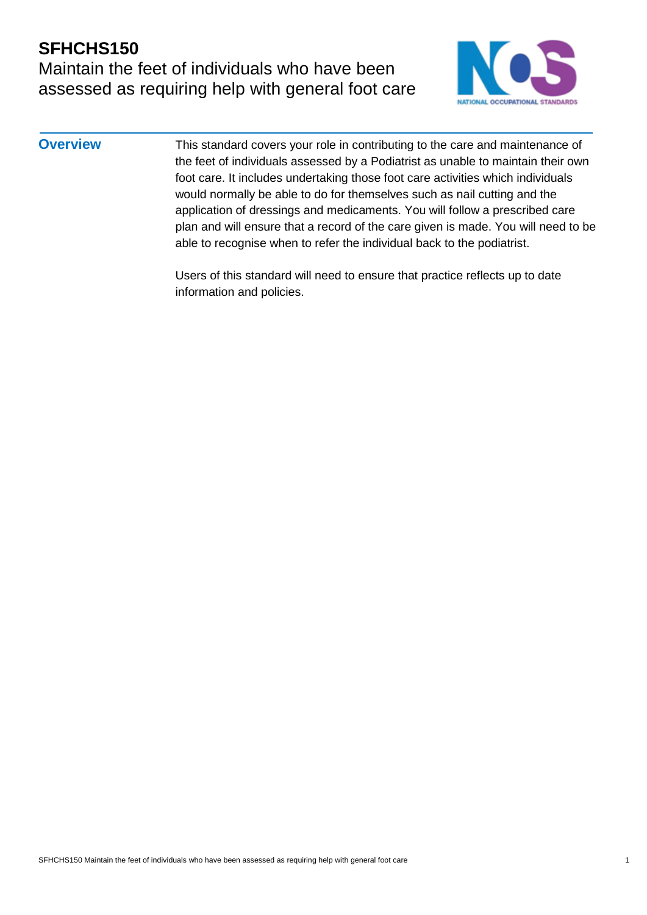## **SFHCHS150** Maintain the feet of individuals who have been assessed as requiring help with general foot care



**Overview** This standard covers your role in contributing to the care and maintenance of the feet of individuals assessed by a Podiatrist as unable to maintain their own foot care. It includes undertaking those foot care activities which individuals would normally be able to do for themselves such as nail cutting and the application of dressings and medicaments. You will follow a prescribed care plan and will ensure that a record of the care given is made. You will need to be able to recognise when to refer the individual back to the podiatrist.

> Users of this standard will need to ensure that practice reflects up to date information and policies.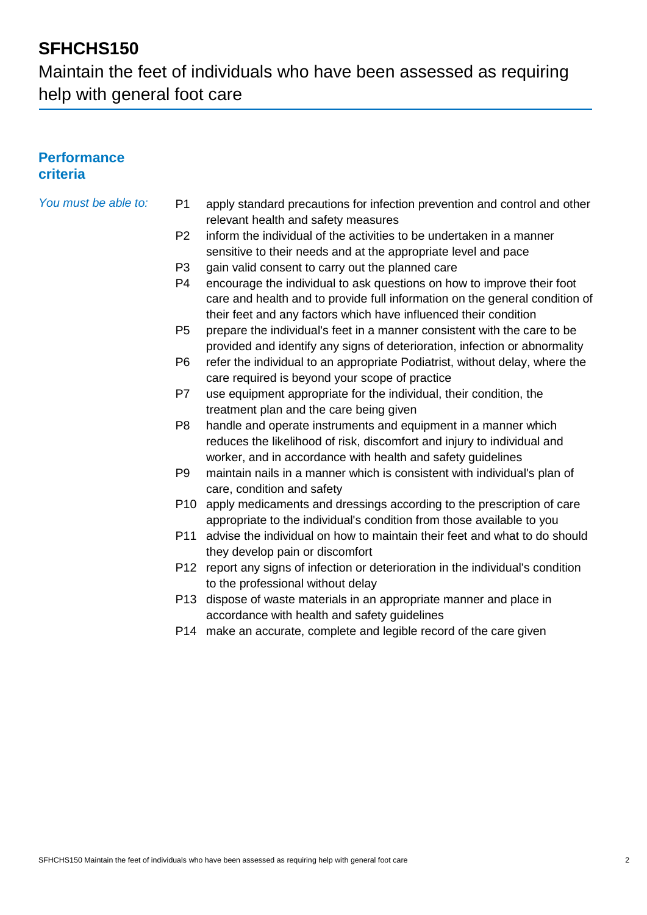Maintain the feet of individuals who have been assessed as requiring help with general foot care

### **Performance criteria**

- *You must be able to:* P1 apply standard precautions for infection prevention and control and other relevant health and safety measures
	- P2 inform the individual of the activities to be undertaken in a manner sensitive to their needs and at the appropriate level and pace
	- P3 gain valid consent to carry out the planned care
	- P4 encourage the individual to ask questions on how to improve their foot care and health and to provide full information on the general condition of their feet and any factors which have influenced their condition
	- P5 prepare the individual's feet in a manner consistent with the care to be provided and identify any signs of deterioration, infection or abnormality
	- P6 refer the individual to an appropriate Podiatrist, without delay, where the care required is beyond your scope of practice
	- P7 use equipment appropriate for the individual, their condition, the treatment plan and the care being given
	- P8 handle and operate instruments and equipment in a manner which reduces the likelihood of risk, discomfort and injury to individual and worker, and in accordance with health and safety guidelines
	- P9 maintain nails in a manner which is consistent with individual's plan of care, condition and safety
	- P10 apply medicaments and dressings according to the prescription of care appropriate to the individual's condition from those available to you
	- P11 advise the individual on how to maintain their feet and what to do should they develop pain or discomfort
	- P12 report any signs of infection or deterioration in the individual's condition to the professional without delay
	- P13 dispose of waste materials in an appropriate manner and place in accordance with health and safety guidelines
	- P14 make an accurate, complete and legible record of the care given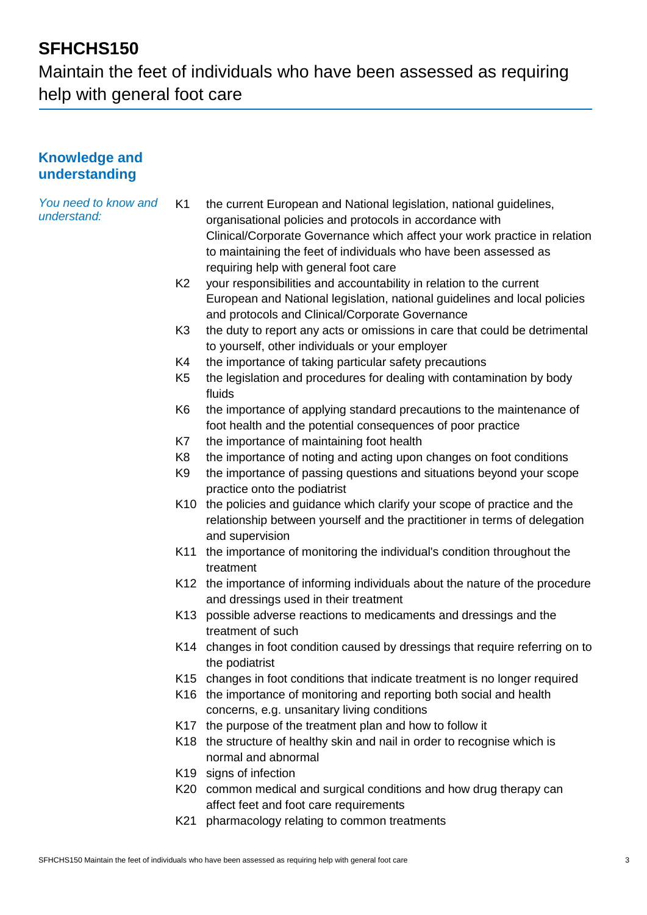Maintain the feet of individuals who have been assessed as requiring help with general foot care

### **Knowledge and understanding**

| the current European and National legislation, national guidelines,<br>organisational policies and protocols in accordance with                                            |
|----------------------------------------------------------------------------------------------------------------------------------------------------------------------------|
| Clinical/Corporate Governance which affect your work practice in relation<br>to maintaining the feet of individuals who have been assessed as                              |
| requiring help with general foot care                                                                                                                                      |
| your responsibilities and accountability in relation to the current                                                                                                        |
| European and National legislation, national guidelines and local policies<br>and protocols and Clinical/Corporate Governance                                               |
| the duty to report any acts or omissions in care that could be detrimental                                                                                                 |
| to yourself, other individuals or your employer                                                                                                                            |
| the importance of taking particular safety precautions                                                                                                                     |
| the legislation and procedures for dealing with contamination by body<br>fluids                                                                                            |
| the importance of applying standard precautions to the maintenance of                                                                                                      |
| foot health and the potential consequences of poor practice                                                                                                                |
| the importance of maintaining foot health                                                                                                                                  |
| the importance of noting and acting upon changes on foot conditions                                                                                                        |
| the importance of passing questions and situations beyond your scope<br>practice onto the podiatrist                                                                       |
| K10 the policies and guidance which clarify your scope of practice and the<br>relationship between yourself and the practitioner in terms of delegation<br>and supervision |
| the importance of monitoring the individual's condition throughout the<br>K11                                                                                              |
| treatment                                                                                                                                                                  |
| K12 the importance of informing individuals about the nature of the procedure<br>and dressings used in their treatment                                                     |
| K13 possible adverse reactions to medicaments and dressings and the<br>treatment of such                                                                                   |
| K14 changes in foot condition caused by dressings that require referring on to<br>the podiatrist                                                                           |
| K15 changes in foot conditions that indicate treatment is no longer required                                                                                               |
| K16 the importance of monitoring and reporting both social and health<br>concerns, e.g. unsanitary living conditions                                                       |
| K17 the purpose of the treatment plan and how to follow it                                                                                                                 |
| K18 the structure of healthy skin and nail in order to recognise which is                                                                                                  |
| normal and abnormal                                                                                                                                                        |
| K19 signs of infection                                                                                                                                                     |
| K20 common medical and surgical conditions and how drug therapy can                                                                                                        |
| affect feet and foot care requirements                                                                                                                                     |
| pharmacology relating to common treatments<br>K21                                                                                                                          |
| K1<br>K <sub>2</sub><br>K <sub>3</sub><br>K4<br>K <sub>5</sub><br>K <sub>6</sub><br>K7<br>K <sub>8</sub><br>K <sub>9</sub>                                                 |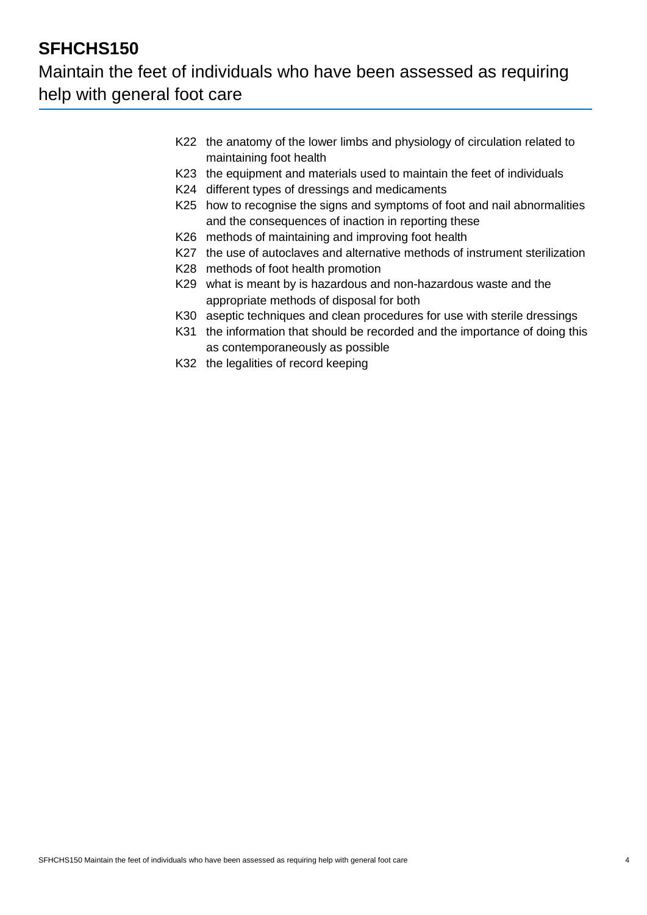## Maintain the feet of individuals who have been assessed as requiring help with general foot care

- K22 the anatomy of the lower limbs and physiology of circulation related to maintaining foot health
- K23 the equipment and materials used to maintain the feet of individuals
- K24 different types of dressings and medicaments
- K25 how to recognise the signs and symptoms of foot and nail abnormalities and the consequences of inaction in reporting these
- K26 methods of maintaining and improving foot health
- K27 the use of autoclaves and alternative methods of instrument sterilization
- K28 methods of foot health promotion
- K29 what is meant by is hazardous and non-hazardous waste and the appropriate methods of disposal for both
- K30 aseptic techniques and clean procedures for use with sterile dressings
- K31 the information that should be recorded and the importance of doing this as contemporaneously as possible
- K32 the legalities of record keeping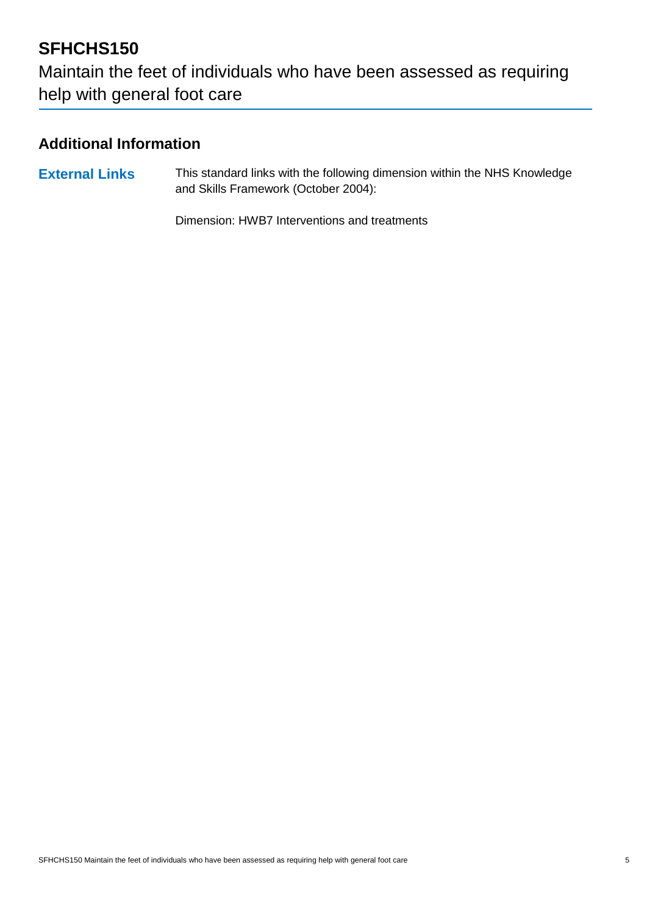Maintain the feet of individuals who have been assessed as requiring help with general foot care

## **Additional Information**

**External Links** This standard links with the following dimension within the NHS Knowledge and Skills Framework (October 2004):

Dimension: HWB7 Interventions and treatments